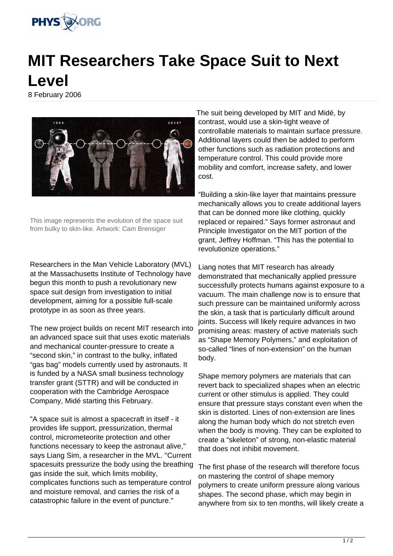

## **MIT Researchers Take Space Suit to Next Level**

8 February 2006



This image represents the evolution of the space suit from bulky to skin-like. Artwork: Cam Brensiger

Researchers in the Man Vehicle Laboratory (MVL) at the Massachusetts Institute of Technology have begun this month to push a revolutionary new space suit design from investigation to initial development, aiming for a possible full-scale prototype in as soon as three years.

The new project builds on recent MIT research into an advanced space suit that uses exotic materials and mechanical counter-pressure to create a "second skin," in contrast to the bulky, inflated "gas bag" models currently used by astronauts. It is funded by a NASA small business technology transfer grant (STTR) and will be conducted in cooperation with the Cambridge Aerospace Company, Midé starting this February.

"A space suit is almost a spacecraft in itself - it provides life support, pressurization, thermal control, micrometeorite protection and other functions necessary to keep the astronaut alive," says Liang Sim, a researcher in the MVL. "Current spacesuits pressurize the body using the breathing gas inside the suit, which limits mobility, complicates functions such as temperature control and moisture removal, and carries the risk of a catastrophic failure in the event of puncture."

The suit being developed by MIT and Midé, by contrast, would use a skin-tight weave of controllable materials to maintain surface pressure. Additional layers could then be added to perform other functions such as radiation protections and temperature control. This could provide more mobility and comfort, increase safety, and lower cost.

"Building a skin-like layer that maintains pressure mechanically allows you to create additional layers that can be donned more like clothing, quickly replaced or repaired." Says former astronaut and Principle Investigator on the MIT portion of the grant, Jeffrey Hoffman. "This has the potential to revolutionize operations."

Liang notes that MIT research has already demonstrated that mechanically applied pressure successfully protects humans against exposure to a vacuum. The main challenge now is to ensure that such pressure can be maintained uniformly across the skin, a task that is particularly difficult around joints. Success will likely require advances in two promising areas: mastery of active materials such as "Shape Memory Polymers," and exploitation of so-called "lines of non-extension" on the human body.

Shape memory polymers are materials that can revert back to specialized shapes when an electric current or other stimulus is applied. They could ensure that pressure stays constant even when the skin is distorted. Lines of non-extension are lines along the human body which do not stretch even when the body is moving. They can be exploited to create a "skeleton" of strong, non-elastic material that does not inhibit movement.

The first phase of the research will therefore focus on mastering the control of shape memory polymers to create uniform pressure along various shapes. The second phase, which may begin in anywhere from six to ten months, will likely create a